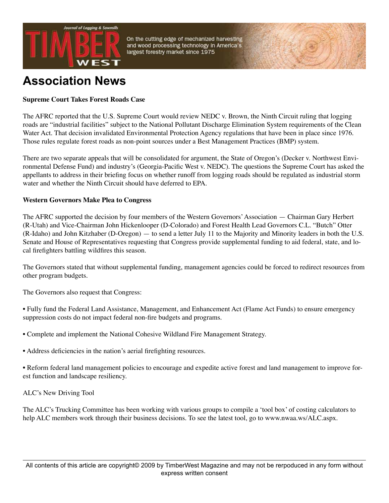

On the cutting edge of mechanized harvesting and wood processing technology in America's largest forestry market since 1975

# **Association News**

# **Supreme Court Takes Forest Roads Case**

The AFRC reported that the U.S. Supreme Court would review NEDC v. Brown, the Ninth Circuit ruling that logging roads are "industrial facilities" subject to the National Pollutant Discharge Elimination System requirements of the Clean Water Act. That decision invalidated Environmental Protection Agency regulations that have been in place since 1976. Those rules regulate forest roads as non-point sources under a Best Management Practices (BMP) system.

There are two separate appeals that will be consolidated for argument, the State of Oregon's (Decker v. Northwest Environmental Defense Fund) and industry's (Georgia-Pacific West v. NEDC). The questions the Supreme Court has asked the appellants to address in their briefing focus on whether runoff from logging roads should be regulated as industrial storm water and whether the Ninth Circuit should have deferred to EPA.

## **Western Governors Make Plea to Congress**

The AFRC supported the decision by four members of the Western Governors' Association — Chairman Gary Herbert (R-Utah) and Vice-Chairman John Hickenlooper (D-Colorado) and Forest Health Lead Governors C.L. "Butch" Otter (R-Idaho) and John Kitzhaber (D-Oregon) — to send a letter July 11 to the Majority and Minority leaders in both the U.S. Senate and House of Representatives requesting that Congress provide supplemental funding to aid federal, state, and local firefighters battling wildfires this season.

The Governors stated that without supplemental funding, management agencies could be forced to redirect resources from other program budgets.

The Governors also request that Congress:

- Fully fund the Federal Land Assistance, Management, and Enhancement Act (Flame Act Funds) to ensure emergency suppression costs do not impact federal non-fire budgets and programs.
- Complete and implement the National Cohesive Wildland Fire Management Strategy.
- Address deficiencies in the nation's aerial firefighting resources.

• Reform federal land management policies to encourage and expedite active forest and land management to improve forest function and landscape resiliency.

#### ALC's New Driving Tool

The ALC's Trucking Committee has been working with various groups to compile a 'tool box' of costing calculators to help ALC members work through their business decisions. To see the latest tool, go to www.nwaa.ws/ALC.aspx.